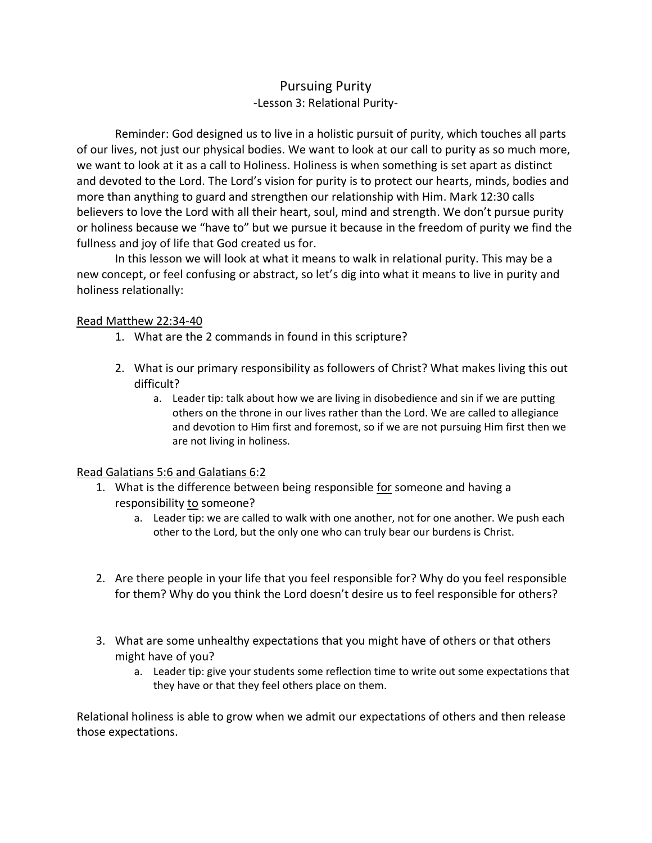# Pursuing Purity -Lesson 3: Relational Purity-

Reminder: God designed us to live in a holistic pursuit of purity, which touches all parts of our lives, not just our physical bodies. We want to look at our call to purity as so much more, we want to look at it as a call to Holiness. Holiness is when something is set apart as distinct and devoted to the Lord. The Lord's vision for purity is to protect our hearts, minds, bodies and more than anything to guard and strengthen our relationship with Him. Mark 12:30 calls believers to love the Lord with all their heart, soul, mind and strength. We don't pursue purity or holiness because we "have to" but we pursue it because in the freedom of purity we find the fullness and joy of life that God created us for.

In this lesson we will look at what it means to walk in relational purity. This may be a new concept, or feel confusing or abstract, so let's dig into what it means to live in purity and holiness relationally:

#### Read Matthew 22:34-40

- 1. What are the 2 commands in found in this scripture?
- 2. What is our primary responsibility as followers of Christ? What makes living this out difficult?
	- a. Leader tip: talk about how we are living in disobedience and sin if we are putting others on the throne in our lives rather than the Lord. We are called to allegiance and devotion to Him first and foremost, so if we are not pursuing Him first then we are not living in holiness.

### Read Galatians 5:6 and Galatians 6:2

- 1. What is the difference between being responsible for someone and having a responsibility to someone?
	- a. Leader tip: we are called to walk with one another, not for one another. We push each other to the Lord, but the only one who can truly bear our burdens is Christ.
- 2. Are there people in your life that you feel responsible for? Why do you feel responsible for them? Why do you think the Lord doesn't desire us to feel responsible for others?
- 3. What are some unhealthy expectations that you might have of others or that others might have of you?
	- a. Leader tip: give your students some reflection time to write out some expectations that they have or that they feel others place on them.

Relational holiness is able to grow when we admit our expectations of others and then release those expectations.